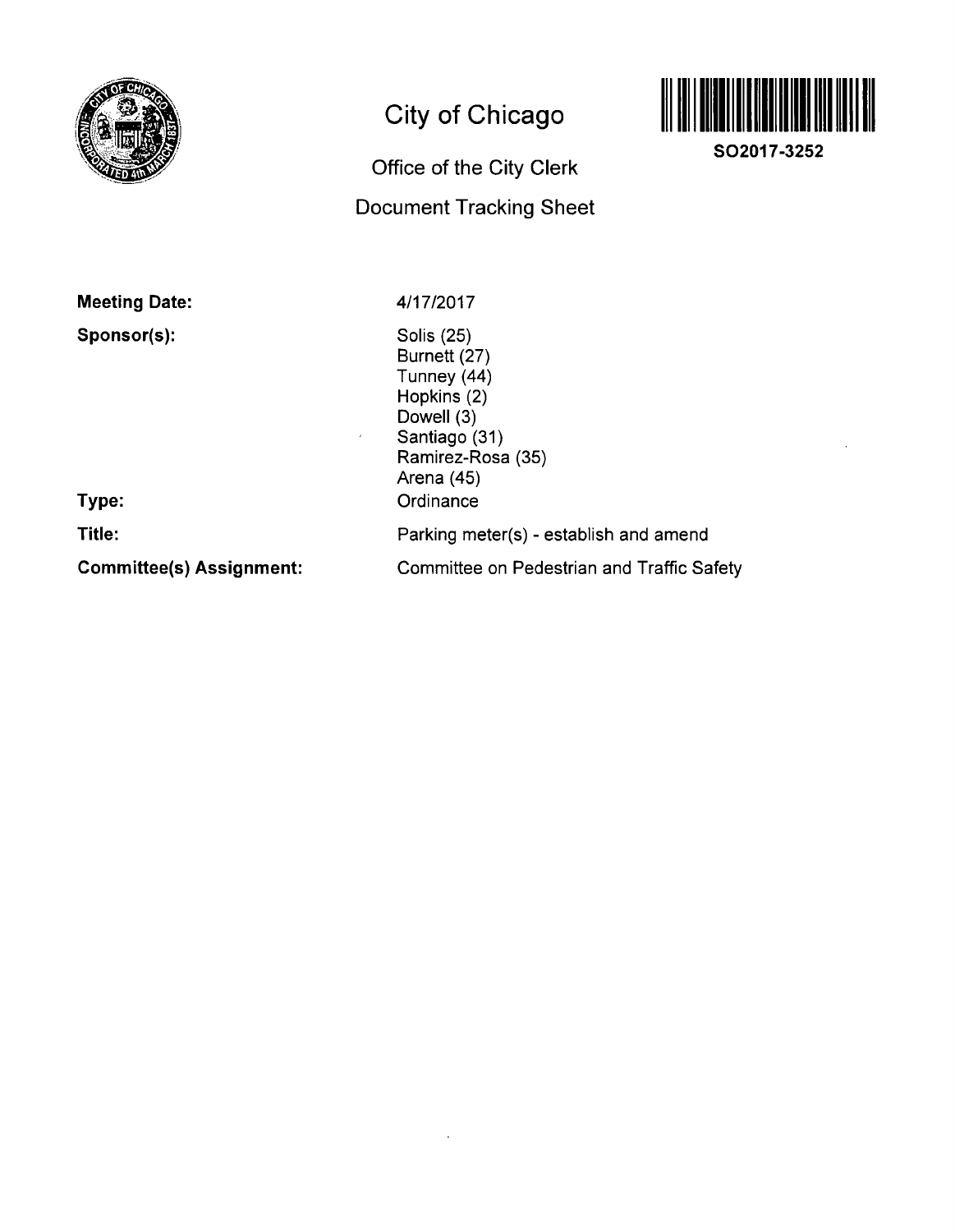

# **City of Chicago**

## **Office of the City Clerk Document Tracking Sheet**



**SO2017-3252** 

**Meeting Date:** 

**Sponsor(s):** 

4/17/2017

Solis (25) Burnett (27) Tunney (44) Hopkins (2) Dowell (3) Santiago (31) Ramirez-Rosa (35) Arena (45) **Ordinance** Parking meter(s) - establish and amend

**Type:** 

**Title:** 

**Committee(s) Assignment:** 

Committee on Pedestrian and Traffic Safety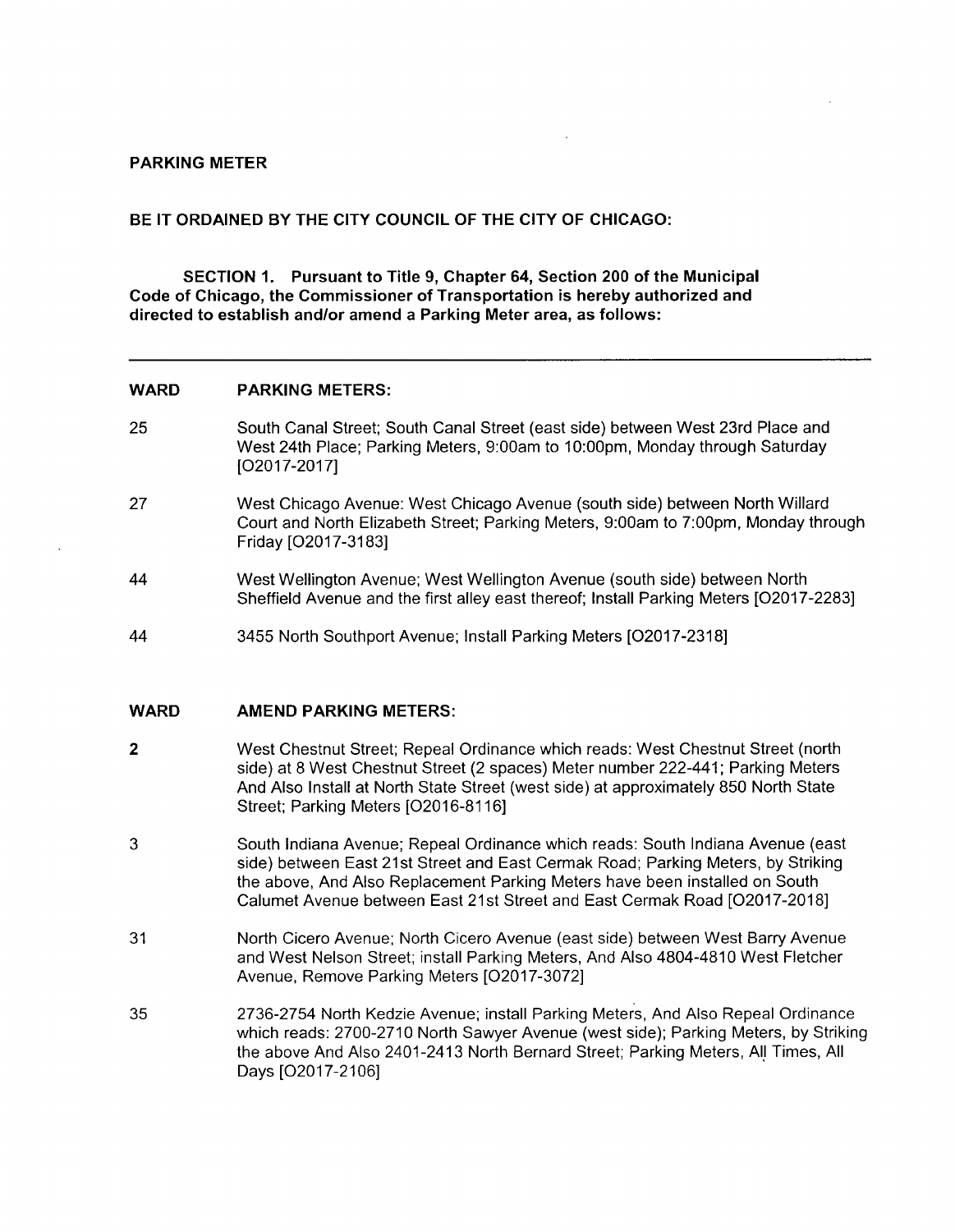## **PARKING METER**

## **BE IT ORDAINED BY THE CITY COUNCIL OF THE CITY OF CHICAGO:**

**SECTION 1. Pursuant to Title 9, Chapter 64, Section 200 of the Municipal Code of Chicago, the Commissioner of Transportation is hereby authorized and directed to establish and/or amend a Parking Meter area, as follows:** 

#### **WARD PARKING METERS:**

- **25**  South Canal Street; South Canal Street (east side) between West 23rd Place and West 24th Place; Parking Meters, 9:00am to 10:00pm, Monday through Saturday [02017-2017]
- 27 West Chicago Avenue: West Chicago Avenue (south side) between North Willard Court and North Elizabeth Street; Parking Meters, 9:00am to 7:00pm, Monday through Friday [02017-3183]
- 44 West Wellington Avenue; West Wellington Avenue (south side) between North Sheffield Avenue and the first alley east thereof; Install Parking Meters [02017-2283]
- 44 3455 North Southport Avenue; Install Parking Meters [02017-2318]

### **WARD AMEND PARKING METERS:**

- 2 West Chestnut Street; Repeal Ordinance which reads: West Chestnut Street (north side) at 8 West Chestnut Street (2 spaces) Meter number 222-441; Parking Meters And Also Install at North State Street (west side) at approximately 850 North State Street; Parking Meters [02016-8116]
- 3 South Indiana Avenue; Repeal Ordinance which reads: South Indiana Avenue (east side) between East 21st Street and East Cermak Road; Parking Meters, by Striking the above. And Also Replacement Parking Meters have been installed on South Calumet Avenue between East 21st Street and East Cermak Road [02017-2018]
- 31 North Cicero Avenue; North Cicero Avenue (east side) between West Barry Avenue and West Nelson Street; install Parking Meters, And Also 4804-4810 West Fletcher Avenue, Remove Parking Meters [02017-3072]
- 35 2736-2754 North Kedzie Avenue; install Parking Meters, And Also Repeal Ordinance which reads: 2700-2710 North Sawyer Avenue (west side); Parking Meters, by Striking the above And Also 2401-2413 North Bernard Street; Parking Meters, All Times, All Days [02017-2106]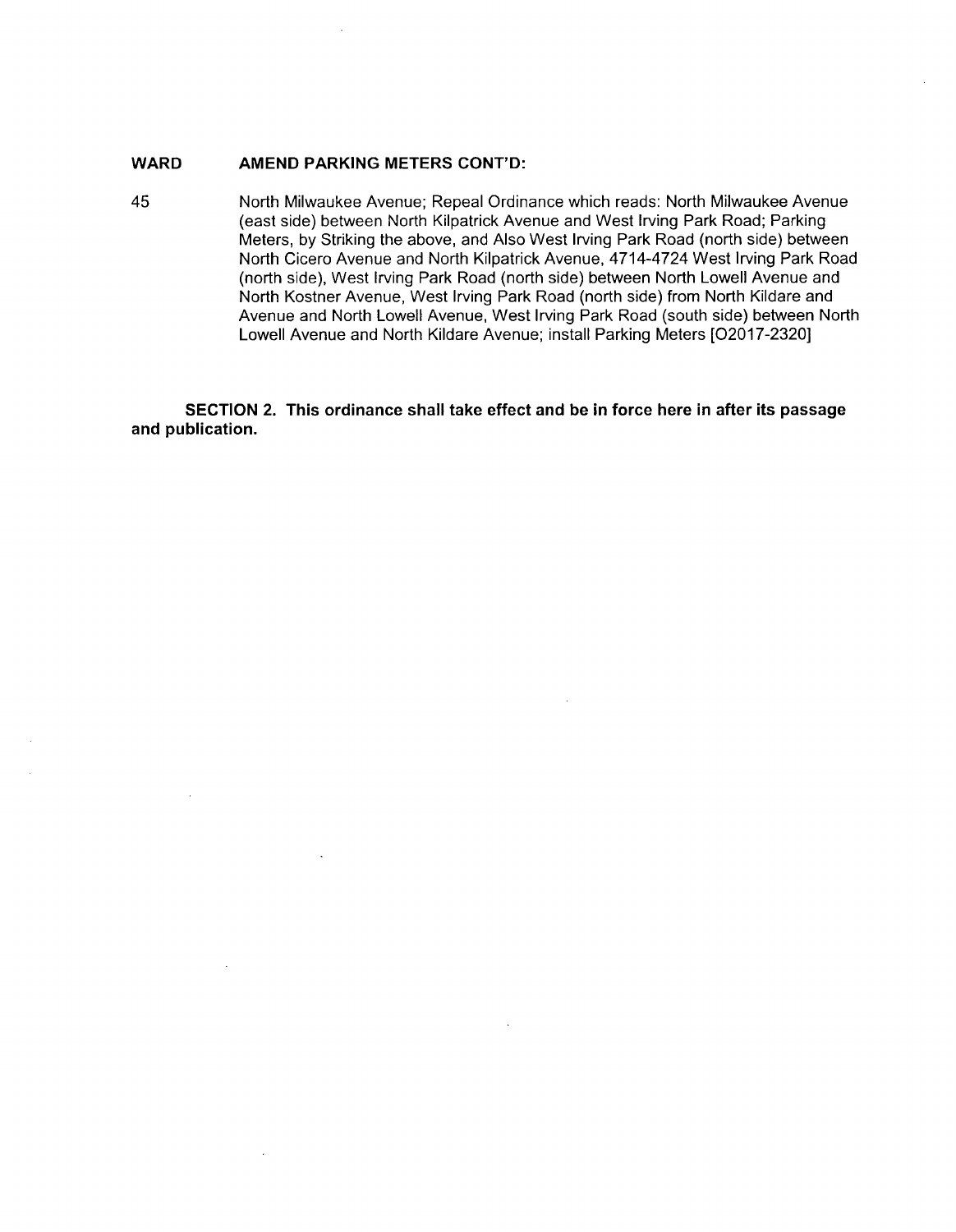## WARD **AMEND PARKING METERS CONT'D:**

45 North Milwaukee Avenue; Repeal Ordinance which reads: North Milwaukee Avenue (east side) between North Kilpatrick Avenue and West Irving Park Road; Parking Meters, by Striking the above, and Also West Irving Park Road (north side) between North Cicero Avenue and North Kilpatrick Avenue, 4714-4724 West Irving Park Road (north side). West Irving Park Road (north side) between North Lowell Avenue and North Kostner Avenue, West Irving Park Road (north side) from North Kildare and Avenue and North Lowell Avenue, West Irving Park Road (south side) between North Lowell Avenue and North Kildare Avenue; install Parking Meters [02017-2320]

**SECTION 2. This ordinance shall take effect and be in force here in after its passage and publication.**